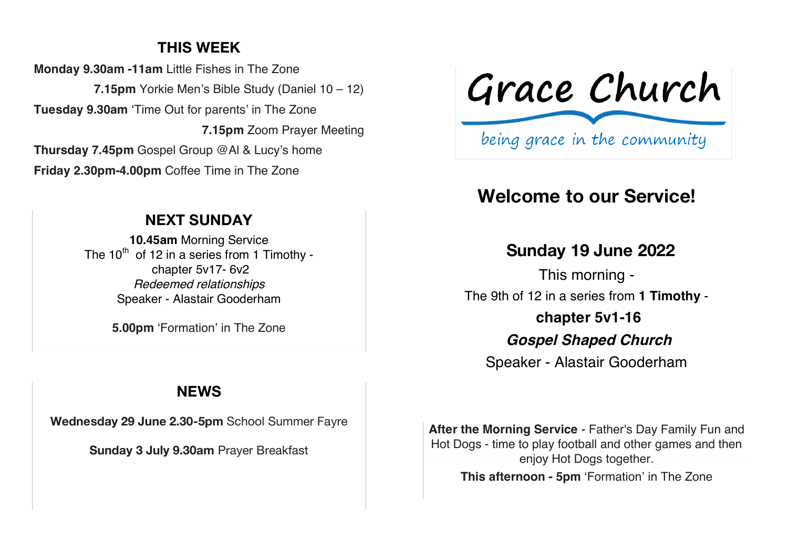# **THIS WEEK**

**Monday 9.30am -11am** Little Fishes in The Zone **7.15pm** Yorkie Men's Bible Study (Daniel 10 – 12) **Tuesday 9.30am** 'Time Out for parents' in The Zone **7.15pm** Zoom Prayer Meeting **Thursday 7.45pm** Gospel Group @Al & Lucy's home **Friday 2.30pm-4.00pm** Coffee Time in The Zone

## **NEXT SUNDAY**

**10.45am** Morning Service The  $10^{th}$  of 12 in a series from 1 Timothy chapter 5v17- 6v2 Redeemed relationships Speaker - Alastair Gooderham

**5.00pm** 'Formation' in The Zone

# Grace Church

being grace in the community

# **Welcome to our Service!**

## **Sunday 19 June 2022**

This morning - The 9th of 12 in a series from **1 Timothy chapter 5v1-16 Gospel Shaped Church** Speaker - Alastair Gooderham

### **NEWS**

**Wednesday 29 June 2.30-5pm** School Summer Fayre

**Sunday 3 July 9.30am** Prayer Breakfast

**After the Morning Service** - Father's Day Family Fun and Hot Dogs - time to play football and other games and then enjoy Hot Dogs together. **This afternoon - 5pm** 'Formation' in The Zone